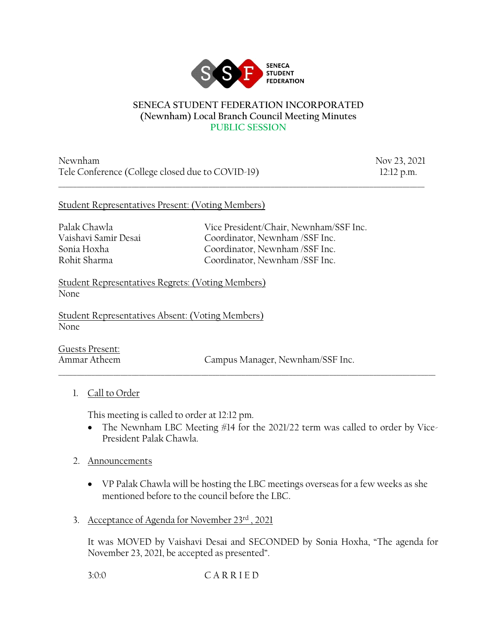

#### **SENECA STUDENT FEDERATION INCORPORATED (Newnham) Local Branch Council Meeting Minutes PUBLIC SESSION**

\_\_\_\_\_\_\_\_\_\_\_\_\_\_\_\_\_\_\_\_\_\_\_\_\_\_\_\_\_\_\_\_\_\_\_\_\_\_\_\_\_\_\_\_\_\_\_\_\_\_\_\_\_\_\_\_\_\_\_\_\_\_\_\_\_\_\_\_\_\_\_\_\_\_\_\_\_\_\_\_\_\_\_\_\_\_\_\_\_\_\_\_\_\_\_\_\_\_\_\_

Newnham Nov 23, 2021 Tele Conference (College closed due to COVID-19) 12:12 p.m.

### Student Representatives Present: (Voting Members)

Palak Chawla Vice President/Chair, Newnham/SSF Inc. Vaishavi Samir Desai Coordinator, Newnham /SSF Inc. Sonia Hoxha Coordinator, Newnham /SSF Inc. Rohit Sharma Coordinator, Newnham /SSF Inc.

Student Representatives Regrets: (Voting Members) None

Student Representatives Absent: (Voting Members) None

Guests Present:

Ammar Atheem Campus Manager, Newnham/SSF Inc.

# 1. Call to Order

This meeting is called to order at 12:12 pm.

• The Newnham LBC Meeting #14 for the 2021/22 term was called to order by Vice-President Palak Chawla.

 $\_$  ,  $\_$  ,  $\_$  ,  $\_$  ,  $\_$  ,  $\_$  ,  $\_$  ,  $\_$  ,  $\_$  ,  $\_$  ,  $\_$  ,  $\_$  ,  $\_$  ,  $\_$  ,  $\_$  ,  $\_$  ,  $\_$  ,  $\_$  ,  $\_$  ,  $\_$  ,  $\_$  ,  $\_$  ,  $\_$  ,  $\_$  ,  $\_$  ,  $\_$  ,  $\_$  ,  $\_$  ,  $\_$  ,  $\_$  ,  $\_$  ,  $\_$  ,  $\_$  ,  $\_$  ,  $\_$  ,  $\_$  ,  $\_$  ,

- 2. Announcements
	- VP Palak Chawla will be hosting the LBC meetings overseas for a few weeks as she mentioned before to the council before the LBC.
- 3. Acceptance of Agenda for November 23rd , 2021

It was MOVED by Vaishavi Desai and SECONDED by Sonia Hoxha, "The agenda for November 23, 2021, be accepted as presented".

3:0:0 C A R R I E D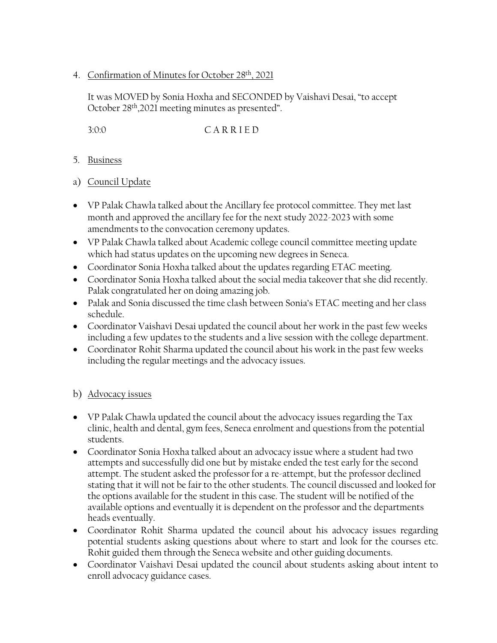4. Confirmation of Minutes for October 28th, 2021

It was MOVED by Sonia Hoxha and SECONDED by Vaishavi Desai, "to accept October 28th,2021 meeting minutes as presented".

3:0:0 C A R R I E D

- 5. Business
- a) Council Update
- VP Palak Chawla talked about the Ancillary fee protocol committee. They met last month and approved the ancillary fee for the next study 2022-2023 with some amendments to the convocation ceremony updates.
- VP Palak Chawla talked about Academic college council committee meeting update which had status updates on the upcoming new degrees in Seneca.
- Coordinator Sonia Hoxha talked about the updates regarding ETAC meeting.
- Coordinator Sonia Hoxha talked about the social media takeover that she did recently. Palak congratulated her on doing amazing job.
- Palak and Sonia discussed the time clash between Sonia's ETAC meeting and her class schedule.
- Coordinator Vaishavi Desai updated the council about her work in the past few weeks including a few updates to the students and a live session with the college department.
- Coordinator Rohit Sharma updated the council about his work in the past few weeks including the regular meetings and the advocacy issues.

# b) Advocacy issues

- VP Palak Chawla updated the council about the advocacy issues regarding the Tax clinic, health and dental, gym fees, Seneca enrolment and questions from the potential students.
- Coordinator Sonia Hoxha talked about an advocacy issue where a student had two attempts and successfully did one but by mistake ended the test early for the second attempt. The student asked the professor for a re-attempt, but the professor declined stating that it will not be fair to the other students. The council discussed and looked for the options available for the student in this case. The student will be notified of the available options and eventually it is dependent on the professor and the departments heads eventually.
- Coordinator Rohit Sharma updated the council about his advocacy issues regarding potential students asking questions about where to start and look for the courses etc. Rohit guided them through the Seneca website and other guiding documents.
- Coordinator Vaishavi Desai updated the council about students asking about intent to enroll advocacy guidance cases.